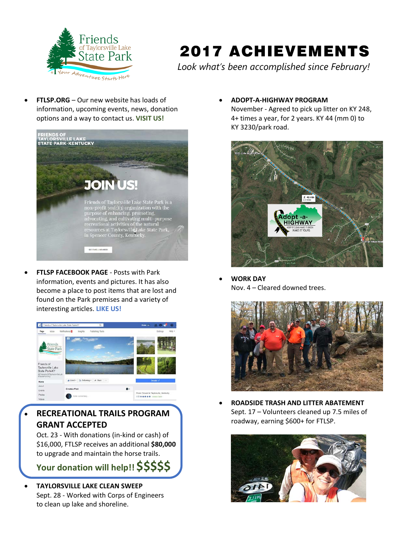

## 2017 ACHIEVEMENTS

*Look what's been accomplished since February!*

• **FTLSP.ORG** – Our new website has loads of information, upcoming events, news, donation options and a way to contact us. **VISIT US!**



• **FTLSP FACEBOOK PAGE** - Posts with Park information, events and pictures. It has also become a place to post items that are lost and found on the Park premises and a variety of interesting articles. **LIKE US!**



• **RECREATIONAL TRAILS PROGRAM GRANT ACCEPTED**

Oct. 23 - With donations (in-kind or cash) of \$16,000, FTLSP receives an additional **\$80,000** to upgrade and maintain the horse trails.

**Your donation will help!! \$\$\$\$\$**

• **TAYLORSVILLE LAKE CLEAN SWEEP** Sept. 28 - Worked with Corps of Engineers to clean up lake and shoreline.

• **ADOPT-A-HIGHWAY PROGRAM**

November - Agreed to pick up litter on KY 248, 4+ times a year, for 2 years. KY 44 (mm 0) to KY 3230/park road.



• **WORK DAY** Nov. 4 – Cleared downed trees.



• **ROADSIDE TRASH AND LITTER ABATEMENT** Sept. 17 – Volunteers cleaned up 7.5 miles of roadway, earning \$600+ for FTLSP.